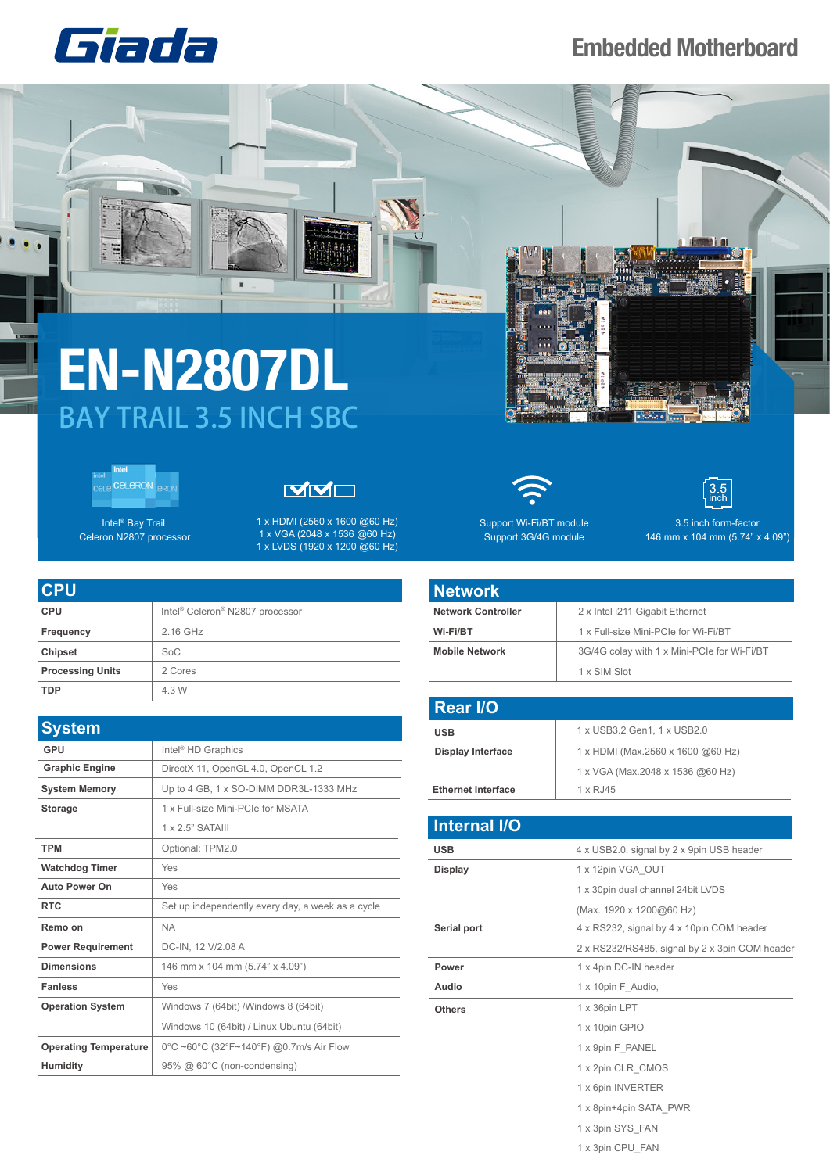

 $\frac{1}{2}$ 

**STATE** 

## **Embedded Motherboard**

## **EN-N2807DL** BAY TRAIL 3.5 INCH SBC

 $\blacksquare$ 



Intel® Bay Trail Celeron N2807 processor



1 x HDMI (2560 x 1600 @60 Hz) 1 x VGA (2048 x 1536 @60 Hz) 1 x LVDS (1920 x 1200 @60 Hz)

| <b>CPU</b>              |                                                         |
|-------------------------|---------------------------------------------------------|
| <b>CPU</b>              | Intel <sup>®</sup> Celeron <sup>®</sup> N2807 processor |
| Frequency               | 2.16 GHz                                                |
| <b>Chipset</b>          | SoC                                                     |
| <b>Processing Units</b> | 2 Cores                                                 |
| TDP                     | 4.3 W                                                   |

| <b>System</b>                |                                                   |
|------------------------------|---------------------------------------------------|
| GPU                          | Intel <sup>®</sup> HD Graphics                    |
| <b>Graphic Engine</b>        | DirectX 11, OpenGL 4.0, OpenCL 1.2                |
| <b>System Memory</b>         | Up to 4 GB, 1 x SO-DIMM DDR3L-1333 MHz            |
| <b>Storage</b>               | 1 x Full-size Mini-PCIe for MSATA                 |
|                              | $1 \times 2$ 5" SATAIII                           |
| <b>TPM</b>                   | Optional: TPM2.0                                  |
| <b>Watchdog Timer</b>        | Yes                                               |
| <b>Auto Power On</b>         | Yes                                               |
| <b>RTC</b>                   | Set up independently every day, a week as a cycle |
| Remo on                      | <b>NA</b>                                         |
| <b>Power Requirement</b>     | DC-IN, 12 V/2.08 A                                |
| <b>Dimensions</b>            | 146 mm x 104 mm (5.74" x 4.09")                   |
| <b>Fanless</b>               | Yes                                               |
| <b>Operation System</b>      | Windows 7 (64bit) /Windows 8 (64bit)              |
|                              | Windows 10 (64bit) / Linux Ubuntu (64bit)         |
| <b>Operating Temperature</b> | 0°C ~60°C (32°F~140°F) @0.7m/s Air Flow           |
| <b>Humidity</b>              | 95% @ 60°C (non-condensing)                       |





Support Wi-Fi/BT module Support 3G/4G module

3.5 inch form-factor 146 mm x 104 mm (5.74" x 4.09")

| Network                   |                                             |
|---------------------------|---------------------------------------------|
| <b>Network Controller</b> | 2 x Intel i211 Gigabit Ethernet             |
| Wi-Fi/BT                  | 1 x Full-size Mini-PCIe for Wi-Fi/BT        |
| <b>Mobile Network</b>     | 3G/4G colay with 1 x Mini-PCIe for Wi-Fi/BT |
|                           | 1 x SIM Slot                                |

| <b>Rear I/O</b>           |                                   |
|---------------------------|-----------------------------------|
| <b>USB</b>                | 1 x USB3.2 Gen1, 1 x USB2.0       |
| <b>Display Interface</b>  | 1 x HDMI (Max.2560 x 1600 @60 Hz) |
|                           | 1 x VGA (Max.2048 x 1536 @60 Hz)  |
| <b>Ethernet Interface</b> | 1 x RJ45                          |

| <b>Internal I/O</b> |                                                |
|---------------------|------------------------------------------------|
| <b>USB</b>          | 4 x USB2.0, signal by 2 x 9pin USB header      |
| <b>Display</b>      | 1 x 12pin VGA OUT                              |
|                     | 1 x 30pin dual channel 24bit LVDS              |
|                     | (Max. 1920 x 1200@60 Hz)                       |
| Serial port         | 4 x RS232, signal by 4 x 10pin COM header      |
|                     | 2 x RS232/RS485, signal by 2 x 3pin COM header |
| Power               | 1 x 4pin DC-IN header                          |
| Audio               | 1 x 10pin F Audio,                             |
| <b>Others</b>       | 1 x 36pin LPT                                  |
|                     | 1 x 10pin GPIO                                 |
|                     | 1 x 9pin F PANEL                               |
|                     | 1 x 2pin CLR CMOS                              |
|                     | 1 x 6pin INVERTER                              |
|                     | 1 x 8pin+4pin SATA PWR                         |
|                     | 1 x 3pin SYS FAN                               |
|                     | 1 x 3pin CPU FAN                               |